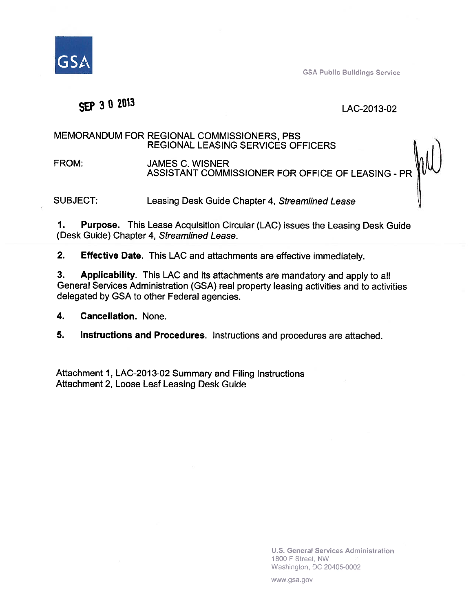

**GSA Public Buildings Service** 

# SEP 3 0 2013

#### LAC-2013-02

#### MEMORANDUM FOR REGIONAL COMMISSIONERS, PBS **REGIONAL LEASING SERVICES OFFICERS**

JAMES C. WISNER<br>ASSISTANT COMMISSIONER FOR OFFICE OF LEASING - PR FROM:

**SUBJECT:** Leasing Desk Guide Chapter 4, Streamlined Lease

 $\mathbf 1$ . **Purpose.** This Lease Acquisition Circular (LAC) issues the Leasing Desk Guide (Desk Guide) Chapter 4, Streamlined Lease.

 $2.$ **Effective Date.** This LAC and attachments are effective immediately.

3. Applicability. This LAC and its attachments are mandatory and apply to all General Services Administration (GSA) real property leasing activities and to activities delegated by GSA to other Federal agencies.

4. **Cancellation. None.** 

5. Instructions and Procedures. Instructions and procedures are attached.

Attachment 1, LAC-2013-02 Summary and Filing Instructions Attachment 2, Loose Leaf Leasing Desk Guide

> **U.S. General Services Administration** 1800 F Street, NW Washington, DC 20405-0002

www.gsa.gov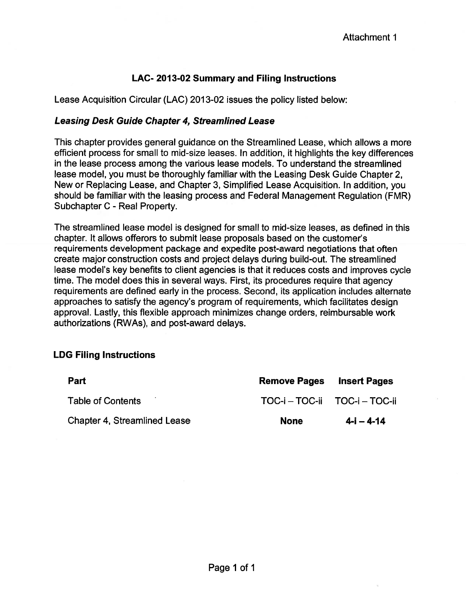### LAC-2013-02 Summary and Filing Instructions

Lease Acquisition Circular (LAC) 2013-02 issues the policy listed below:

#### **Leasing Desk Guide Chapter 4, Streamlined Lease**

This chapter provides general guidance on the Streamlined Lease, which allows a more efficient process for small to mid-size leases. In addition, it highlights the key differences in the lease process among the various lease models. To understand the streamlined lease model, you must be thoroughly familiar with the Leasing Desk Guide Chapter 2, New or Replacing Lease, and Chapter 3, Simplified Lease Acquisition. In addition, you should be familiar with the leasing process and Federal Management Regulation (FMR) Subchapter C - Real Property.

The streamlined lease model is designed for small to mid-size leases, as defined in this chapter. It allows offerors to submit lease proposals based on the customer's requirements development package and expedite post-award negotiations that often create major construction costs and project delays during build-out. The streamlined lease model's key benefits to client agencies is that it reduces costs and improves cycle time. The model does this in several ways. First, its procedures require that agency requirements are defined early in the process. Second, its application includes alternate approaches to satisfy the agency's program of requirements, which facilitates design approval. Lastly, this flexible approach minimizes change orders, reimbursable work authorizations (RWAs), and post-award delays.

### **LDG Filing Instructions**

| Part                                | <b>Remove Pages</b>           | <b>Insert Pages</b> |
|-------------------------------------|-------------------------------|---------------------|
| <b>Table of Contents</b>            | TOC-i - TOC-ii TOC-i - TOC-ii |                     |
| <b>Chapter 4, Streamlined Lease</b> | <b>None</b>                   | $4 - i - 4 - 14$    |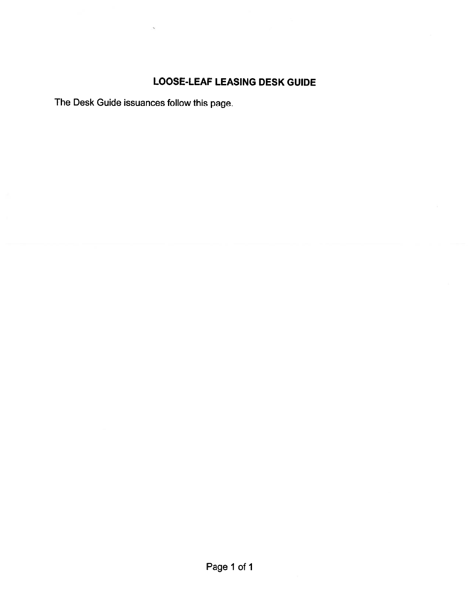## **LOOSE-LEAF LEASING DESK GUIDE**

The Desk Guide issuances follow this page.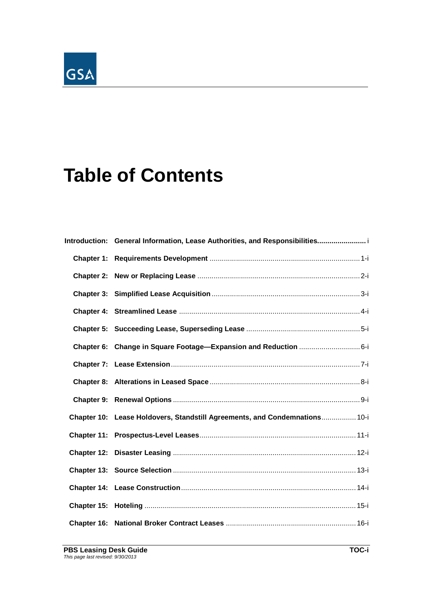# GSA

# **Table of Contents**

| Introduction: General Information, Lease Authorities, and Responsibilities |  |  |
|----------------------------------------------------------------------------|--|--|
|                                                                            |  |  |
|                                                                            |  |  |
|                                                                            |  |  |
|                                                                            |  |  |
|                                                                            |  |  |
|                                                                            |  |  |
|                                                                            |  |  |
|                                                                            |  |  |
|                                                                            |  |  |
| Chapter 10: Lease Holdovers, Standstill Agreements, and Condemnations 10-i |  |  |
|                                                                            |  |  |
|                                                                            |  |  |
|                                                                            |  |  |
|                                                                            |  |  |
|                                                                            |  |  |
|                                                                            |  |  |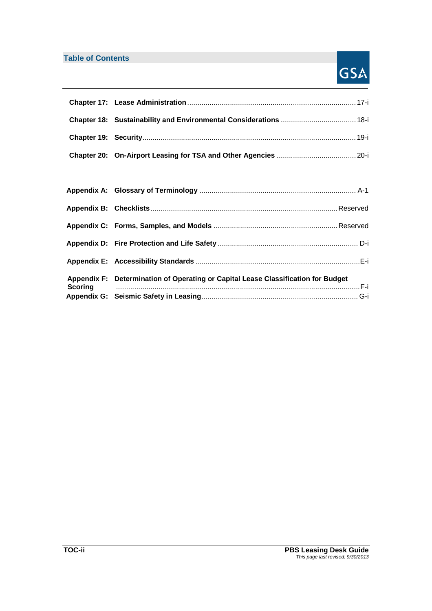### **Table of Contents**

# GSA

| Appendix F: Determination of Operating or Capital Lease Classification for Budget |  |
|-----------------------------------------------------------------------------------|--|
|                                                                                   |  |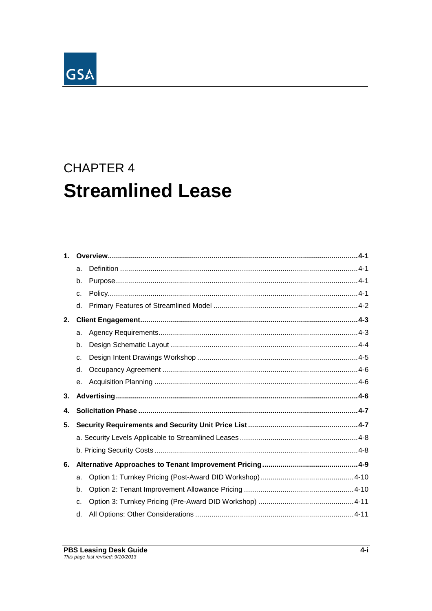

| $\mathbf{1}$ . |    |  |  |  |
|----------------|----|--|--|--|
|                | a. |  |  |  |
|                | b. |  |  |  |
|                | c. |  |  |  |
|                | d. |  |  |  |
| 2.             |    |  |  |  |
|                | a. |  |  |  |
|                | b. |  |  |  |
|                | c. |  |  |  |
|                | d. |  |  |  |
|                | е. |  |  |  |
| 3.             |    |  |  |  |
| 4.             |    |  |  |  |
| 5.             |    |  |  |  |
|                |    |  |  |  |
|                |    |  |  |  |
| 6.             |    |  |  |  |
|                | a. |  |  |  |
|                | b. |  |  |  |
|                | c. |  |  |  |
|                | d. |  |  |  |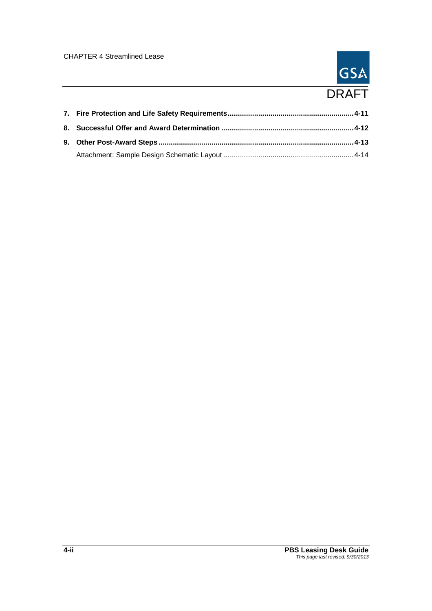# GSA DRAFT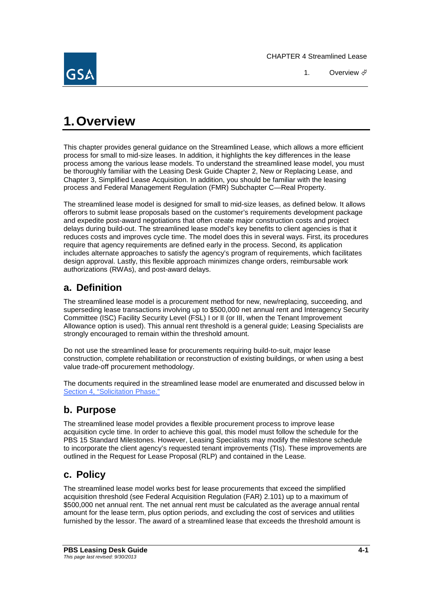

# **1.Overview**

This chapter provides general guidance on the Streamlined Lease, which allows a more efficient process for small to mid-size leases. In addition, it highlights the key differences in the lease process among the various lease models. To understand the streamlined lease model, you must be thoroughly familiar with the Leasing Desk Guide Chapter 2, New or Replacing Lease, and Chapter 3, Simplified Lease Acquisition. In addition, you should be familiar with the leasing process and Federal Management Regulation (FMR) Subchapter C—Real Property.

The streamlined lease model is designed for small to mid-size leases, as defined below. It allows offerors to submit lease proposals based on the customer's requirements development package and expedite post-award negotiations that often create major construction costs and project delays during build-out. The streamlined lease model's key benefits to client agencies is that it reduces costs and improves cycle time. The model does this in several ways. First, its procedures require that agency requirements are defined early in the process. Second, its application includes alternate approaches to satisfy the agency's program of requirements, which facilitates design approval. Lastly, this flexible approach minimizes change orders, reimbursable work authorizations (RWAs), and post-award delays.

## **a. Definition**

The streamlined lease model is a procurement method for new, new/replacing, succeeding, and superseding lease transactions involving up to \$500,000 net annual rent and Interagency Security Committee (ISC) Facility Security Level (FSL) I or II (or III, when the Tenant Improvement Allowance option is used). This annual rent threshold is a general guide; Leasing Specialists are strongly encouraged to remain within the threshold amount.

Do not use the streamlined lease for procurements requiring build-to-suit, major lease construction, complete rehabilitation or reconstruction of existing buildings, or when using a best value trade-off procurement methodology.

The documents required in the streamlined lease model are enumerated and discussed below in Section 4, "Solicitation Phase."

## **b. Purpose**

The streamlined lease model provides a flexible procurement process to improve lease acquisition cycle time. In order to achieve this goal, this model must follow the schedule for the PBS 15 Standard Milestones. However, Leasing Specialists may modify the milestone schedule to incorporate the client agency's requested tenant improvements (TIs). These improvements are outlined in the Request for Lease Proposal (RLP) and contained in the Lease.

# **c. Policy**

The streamlined lease model works best for lease procurements that exceed the simplified acquisition threshold (see Federal Acquisition Regulation (FAR) 2.101) up to a maximum of \$500,000 net annual rent. The net annual rent must be calculated as the average annual rental amount for the lease term, plus option periods, and excluding the cost of services and utilities furnished by the lessor. The award of a streamlined lease that exceeds the threshold amount is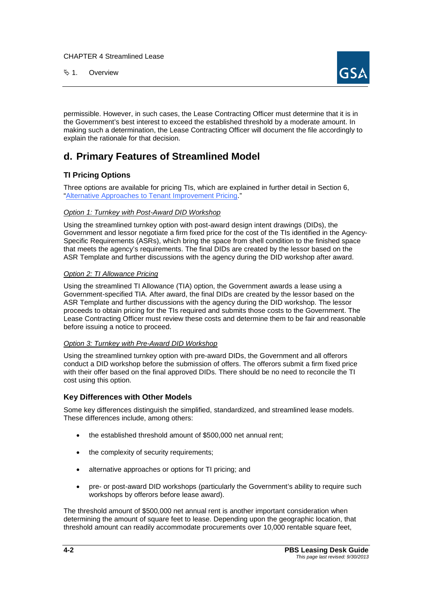**4.** Overview



permissible. However, in such cases, the Lease Contracting Officer must determine that it is in the Government's best interest to exceed the established threshold by a moderate amount. In making such a determination, the Lease Contracting Officer will document the file accordingly to explain the rationale for that decision.

## **d. Primary Features of Streamlined Model**

#### **TI Pricing Options**

Three options are available for pricing TIs, which are explained in further detail in Section 6, "Alternative Approaches to Tenant Improvement Pricing."

#### *Option 1: Turnkey with Post-Award DID Workshop*

Using the streamlined turnkey option with post-award design intent drawings (DIDs), the Government and lessor negotiate a firm fixed price for the cost of the TIs identified in the Agency-Specific Requirements (ASRs), which bring the space from shell condition to the finished space that meets the agency's requirements. The final DIDs are created by the lessor based on the ASR Template and further discussions with the agency during the DID workshop after award.

#### *Option 2: TI Allowance Pricing*

Using the streamlined TI Allowance (TIA) option, the Government awards a lease using a Government-specified TIA. After award, the final DIDs are created by the lessor based on the ASR Template and further discussions with the agency during the DID workshop. The lessor proceeds to obtain pricing for the TIs required and submits those costs to the Government. The Lease Contracting Officer must review these costs and determine them to be fair and reasonable before issuing a notice to proceed.

#### *Option 3: Turnkey with Pre-Award DID Workshop*

Using the streamlined turnkey option with pre-award DIDs, the Government and all offerors conduct a DID workshop before the submission of offers. The offerors submit a firm fixed price with their offer based on the final approved DIDs. There should be no need to reconcile the TI cost using this option.

#### **Key Differences with Other Models**

Some key differences distinguish the simplified, standardized, and streamlined lease models. These differences include, among others:

- the established threshold amount of \$500,000 net annual rent;
- the complexity of security requirements;
- alternative approaches or options for TI pricing; and
- pre- or post-award DID workshops (particularly the Government's ability to require such workshops by offerors before lease award).

The threshold amount of \$500,000 net annual rent is another important consideration when determining the amount of square feet to lease. Depending upon the geographic location, that threshold amount can readily accommodate procurements over 10,000 rentable square feet,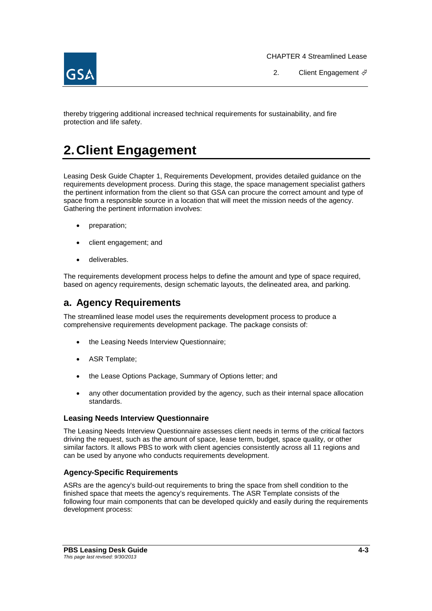2. Client Engagement  $\oint$ 

thereby triggering additional increased technical requirements for sustainability, and fire protection and life safety.

# **2.Client Engagement**

Leasing Desk Guide Chapter 1, Requirements Development, provides detailed guidance on the requirements development process. During this stage, the space management specialist gathers the pertinent information from the client so that GSA can procure the correct amount and type of space from a responsible source in a location that will meet the mission needs of the agency. Gathering the pertinent information involves:

- preparation;
- client engagement; and
- deliverables.

The requirements development process helps to define the amount and type of space required, based on agency requirements, design schematic layouts, the delineated area, and parking.

### **a. Agency Requirements**

The streamlined lease model uses the requirements development process to produce a comprehensive requirements development package. The package consists of:

- the Leasing Needs Interview Questionnaire;
- ASR Template;
- the Lease Options Package, Summary of Options letter; and
- any other documentation provided by the agency, such as their internal space allocation standards.

#### **Leasing Needs Interview Questionnaire**

The Leasing Needs Interview Questionnaire assesses client needs in terms of the critical factors driving the request, such as the amount of space, lease term, budget, space quality, or other similar factors. It allows PBS to work with client agencies consistently across all 11 regions and can be used by anyone who conducts requirements development.

#### **Agency-Specific Requirements**

ASRs are the agency's build-out requirements to bring the space from shell condition to the finished space that meets the agency's requirements. The ASR Template consists of the following four main components that can be developed quickly and easily during the requirements development process: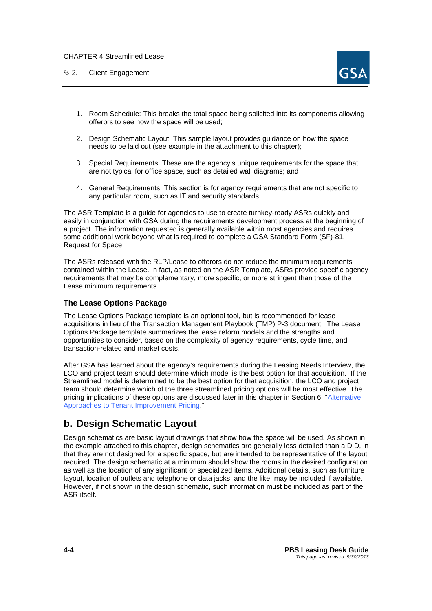$\&$  2. Client Engagement



- 1. Room Schedule: This breaks the total space being solicited into its components allowing offerors to see how the space will be used;
- 2. Design Schematic Layout: This sample layout provides guidance on how the space needs to be laid out (see example in the attachment to this chapter);
- 3. Special Requirements: These are the agency's unique requirements for the space that are not typical for office space, such as detailed wall diagrams; and
- 4. General Requirements: This section is for agency requirements that are not specific to any particular room, such as IT and security standards.

The ASR Template is a guide for agencies to use to create turnkey-ready ASRs quickly and easily in conjunction with GSA during the requirements development process at the beginning of a project. The information requested is generally available within most agencies and requires some additional work beyond what is required to complete a GSA Standard Form (SF)-81, Request for Space.

The ASRs released with the RLP/Lease to offerors do not reduce the minimum requirements contained within the Lease. In fact, as noted on the ASR Template, ASRs provide specific agency requirements that may be complementary, more specific, or more stringent than those of the Lease minimum requirements.

#### **The Lease Options Package**

The Lease Options Package template is an optional tool, but is recommended for lease acquisitions in lieu of the Transaction Management Playbook (TMP) P-3 document. The Lease Options Package template summarizes the lease reform models and the strengths and opportunities to consider, based on the complexity of agency requirements, cycle time, and transaction-related and market costs.

After GSA has learned about the agency's requirements during the Leasing Needs Interview, the LCO and project team should determine which model is the best option for that acquisition. If the Streamlined model is determined to be the best option for that acquisition, the LCO and project team should determine which of the three streamlined pricing options will be most effective. The pricing implications of these options are discussed later in this chapter in Section 6, "Alternative Approaches to Tenant Improvement Pricing."

## **b. Design Schematic Layout**

Design schematics are basic layout drawings that show how the space will be used. As shown in the example attached to this chapter, design schematics are generally less detailed than a DID, in that they are not designed for a specific space, but are intended to be representative of the layout required. The design schematic at a minimum should show the rooms in the desired configuration as well as the location of any significant or specialized items. Additional details, such as furniture layout, location of outlets and telephone or data jacks, and the like, may be included if available. However, if not shown in the design schematic, such information must be included as part of the ASR itself.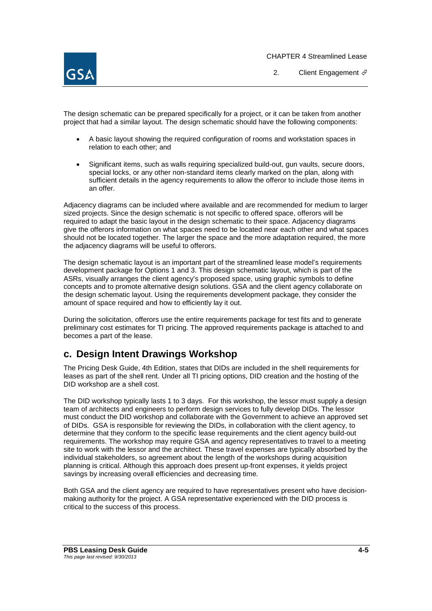

2. Client Engagement  $\mathcal{F}$ 

The design schematic can be prepared specifically for a project, or it can be taken from another project that had a similar layout. The design schematic should have the following components:

- A basic layout showing the required configuration of rooms and workstation spaces in relation to each other; and
- Significant items, such as walls requiring specialized build-out, gun vaults, secure doors, special locks, or any other non-standard items clearly marked on the plan, along with sufficient details in the agency requirements to allow the offeror to include those items in an offer.

Adjacency diagrams can be included where available and are recommended for medium to larger sized projects. Since the design schematic is not specific to offered space, offerors will be required to adapt the basic layout in the design schematic to their space. Adjacency diagrams give the offerors information on what spaces need to be located near each other and what spaces should not be located together. The larger the space and the more adaptation required, the more the adjacency diagrams will be useful to offerors.

The design schematic layout is an important part of the streamlined lease model's requirements development package for Options 1 and 3. This design schematic layout, which is part of the ASRs, visually arranges the client agency's proposed space, using graphic symbols to define concepts and to promote alternative design solutions. GSA and the client agency collaborate on the design schematic layout. Using the requirements development package, they consider the amount of space required and how to efficiently lay it out.

During the solicitation, offerors use the entire requirements package for test fits and to generate preliminary cost estimates for TI pricing. The approved requirements package is attached to and becomes a part of the lease.

## **c. Design Intent Drawings Workshop**

The Pricing Desk Guide, 4th Edition, states that DIDs are included in the shell requirements for leases as part of the shell rent. Under all TI pricing options, DID creation and the hosting of the DID workshop are a shell cost.

The DID workshop typically lasts 1 to 3 days. For this workshop, the lessor must supply a design team of architects and engineers to perform design services to fully develop DIDs. The lessor must conduct the DID workshop and collaborate with the Government to achieve an approved set of DIDs. GSA is responsible for reviewing the DIDs, in collaboration with the client agency, to determine that they conform to the specific lease requirements and the client agency build-out requirements. The workshop may require GSA and agency representatives to travel to a meeting site to work with the lessor and the architect. These travel expenses are typically absorbed by the individual stakeholders, so agreement about the length of the workshops during acquisition planning is critical. Although this approach does present up-front expenses, it yields project savings by increasing overall efficiencies and decreasing time.

Both GSA and the client agency are required to have representatives present who have decisionmaking authority for the project. A GSA representative experienced with the DID process is critical to the success of this process.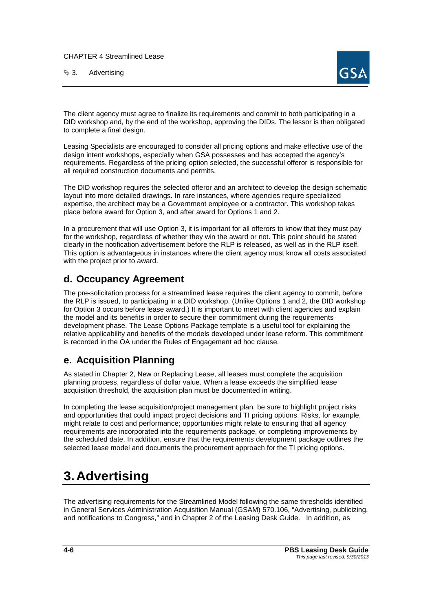$\%$  3. Advertising



The client agency must agree to finalize its requirements and commit to both participating in a DID workshop and, by the end of the workshop, approving the DIDs. The lessor is then obligated to complete a final design.

Leasing Specialists are encouraged to consider all pricing options and make effective use of the design intent workshops, especially when GSA possesses and has accepted the agency's requirements. Regardless of the pricing option selected, the successful offeror is responsible for all required construction documents and permits.

The DID workshop requires the selected offeror and an architect to develop the design schematic layout into more detailed drawings. In rare instances, where agencies require specialized expertise, the architect may be a Government employee or a contractor. This workshop takes place before award for Option 3, and after award for Options 1 and 2.

In a procurement that will use Option 3, it is important for all offerors to know that they must pay for the workshop, regardless of whether they win the award or not. This point should be stated clearly in the notification advertisement before the RLP is released, as well as in the RLP itself. This option is advantageous in instances where the client agency must know all costs associated with the project prior to award.

# **d. Occupancy Agreement**

The pre-solicitation process for a streamlined lease requires the client agency to commit, before the RLP is issued, to participating in a DID workshop. (Unlike Options 1 and 2, the DID workshop for Option 3 occurs before lease award.) It is important to meet with client agencies and explain the model and its benefits in order to secure their commitment during the requirements development phase. The Lease Options Package template is a useful tool for explaining the relative applicability and benefits of the models developed under lease reform. This commitment is recorded in the OA under the Rules of Engagement ad hoc clause.

## **e. Acquisition Planning**

As stated in Chapter 2, New or Replacing Lease, all leases must complete the acquisition planning process, regardless of dollar value. When a lease exceeds the simplified lease acquisition threshold, the acquisition plan must be documented in writing.

In completing the lease acquisition/project management plan, be sure to highlight project risks and opportunities that could impact project decisions and TI pricing options. Risks, for example, might relate to cost and performance; opportunities might relate to ensuring that all agency requirements are incorporated into the requirements package, or completing improvements by the scheduled date. In addition, ensure that the requirements development package outlines the selected lease model and documents the procurement approach for the TI pricing options.

# **3.Advertising**

The advertising requirements for the Streamlined Model following the same thresholds identified in General Services Administration Acquisition Manual (GSAM) 570.106, "Advertising, publicizing, and notifications to Congress," and in Chapter 2 of the Leasing Desk Guide. In addition, as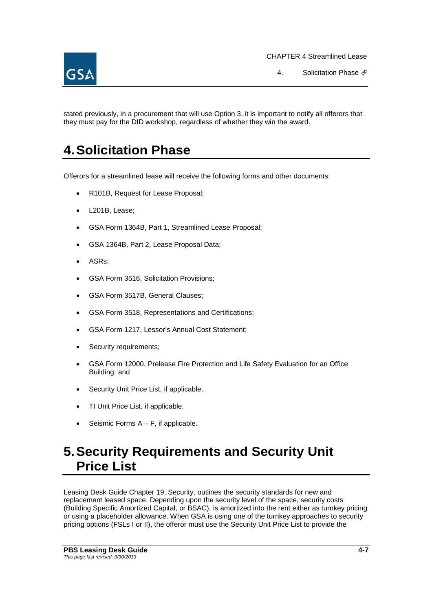

4. Solicitation Phase  $\mathcal{P}$ 

stated previously, in a procurement that will use Option 3, it is important to notify all offerors that they must pay for the DID workshop, regardless of whether they win the award.

# **4.Solicitation Phase**

Offerors for a streamlined lease will receive the following forms and other documents:

- R101B, Request for Lease Proposal;
- L201B, Lease;
- GSA Form 1364B, Part 1, Streamlined Lease Proposal;
- GSA 1364B, Part 2, Lease Proposal Data;
- ASRs;
- GSA Form 3516, Solicitation Provisions;
- GSA Form 3517B, General Clauses;
- GSA Form 3518, Representations and Certifications;
- GSA Form 1217, Lessor's Annual Cost Statement;
- Security requirements;
- GSA Form 12000, Prelease Fire Protection and Life Safety Evaluation for an Office Building; and
- Security Unit Price List, if applicable.
- TI Unit Price List, if applicable.
- Seismic Forms A F, if applicable.

# **5.Security Requirements and Security Unit Price List**

Leasing Desk Guide Chapter 19, Security, outlines the security standards for new and replacement leased space. Depending upon the security level of the space, security costs (Building Specific Amortized Capital, or BSAC), is amortized into the rent either as turnkey pricing or using a placeholder allowance. When GSA is using one of the turnkey approaches to security pricing options (FSLs I or II), the offeror must use the Security Unit Price List to provide the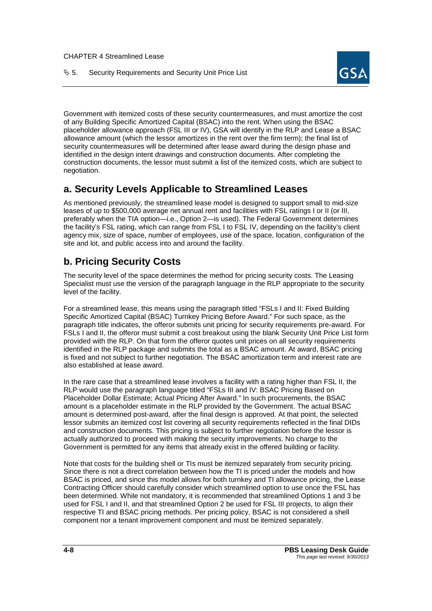

Government with itemized costs of these security countermeasures, and must amortize the cost of any Building Specific Amortized Capital (BSAC) into the rent. When using the BSAC placeholder allowance approach (FSL III or IV), GSA will identify in the RLP and Lease a BSAC allowance amount (which the lessor amortizes in the rent over the firm term); the final list of security countermeasures will be determined after lease award during the design phase and identified in the design intent drawings and construction documents. After completing the construction documents, the lessor must submit a list of the itemized costs, which are subject to negotiation.

# **a. Security Levels Applicable to Streamlined Leases**

As mentioned previously, the streamlined lease model is designed to support small to mid-size leases of up to \$500,000 average net annual rent and facilities with FSL ratings I or II (or III, preferably when the TIA option—i.e., Option 2—is used). The Federal Government determines the facility's FSL rating, which can range from FSL I to FSL IV, depending on the facility's client agency mix, size of space, number of employees, use of the space, location, configuration of the site and lot, and public access into and around the facility.

# **b. Pricing Security Costs**

The security level of the space determines the method for pricing security costs. The Leasing Specialist must use the version of the paragraph language in the RLP appropriate to the security level of the facility.

For a streamlined lease, this means using the paragraph titled "FSLs I and II: Fixed Building Specific Amortized Capital (BSAC) Turnkey Pricing Before Award." For such space, as the paragraph title indicates, the offeror submits unit pricing for security requirements pre-award. For FSLs I and II, the offeror must submit a cost breakout using the blank Security Unit Price List form provided with the RLP. On that form the offeror quotes unit prices on all security requirements identified in the RLP package and submits the total as a BSAC amount. At award, BSAC pricing is fixed and not subject to further negotiation. The BSAC amortization term and interest rate are also established at lease award.

In the rare case that a streamlined lease involves a facility with a rating higher than FSL II, the RLP would use the paragraph language titled "FSLs III and IV: BSAC Pricing Based on Placeholder Dollar Estimate; Actual Pricing After Award." In such procurements, the BSAC amount is a placeholder estimate in the RLP provided by the Government. The actual BSAC amount is determined post-award, after the final design is approved. At that point, the selected lessor submits an itemized cost list covering all security requirements reflected in the final DIDs and construction documents. This pricing is subject to further negotiation before the lessor is actually authorized to proceed with making the security improvements. No charge to the Government is permitted for any items that already exist in the offered building or facility.

Note that costs for the building shell or TIs must be itemized separately from security pricing. Since there is not a direct correlation between how the TI is priced under the models and how BSAC is priced, and since this model allows for both turnkey and TI allowance pricing, the Lease Contracting Officer should carefully consider which streamlined option to use once the FSL has been determined. While not mandatory, it is recommended that streamlined Options 1 and 3 be used for FSL I and II, and that streamlined Option 2 be used for FSL III projects, to align their respective TI and BSAC pricing methods. Per pricing policy, BSAC is not considered a shell component nor a tenant improvement component and must be itemized separately.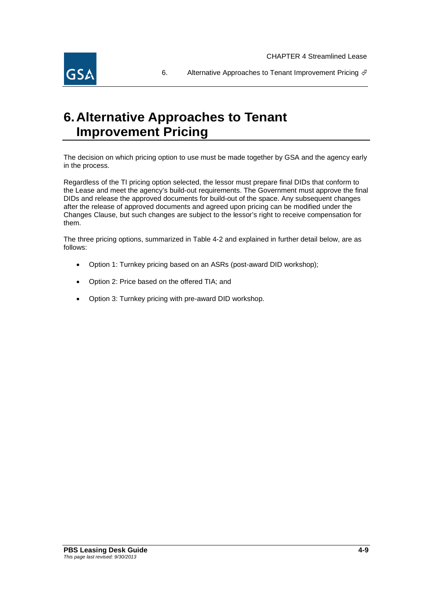

6. Alternative Approaches to Tenant Improvement Pricing  $\oint$ 

# **6.Alternative Approaches to Tenant Improvement Pricing**

The decision on which pricing option to use must be made together by GSA and the agency early in the process.

Regardless of the TI pricing option selected, the lessor must prepare final DIDs that conform to the Lease and meet the agency's build-out requirements. The Government must approve the final DIDs and release the approved documents for build-out of the space. Any subsequent changes after the release of approved documents and agreed upon pricing can be modified under the Changes Clause, but such changes are subject to the lessor's right to receive compensation for them.

The three pricing options, summarized in Table 4-2 and explained in further detail below, are as follows:

- Option 1: Turnkey pricing based on an ASRs (post-award DID workshop);
- Option 2: Price based on the offered TIA; and
- Option 3: Turnkey pricing with pre-award DID workshop.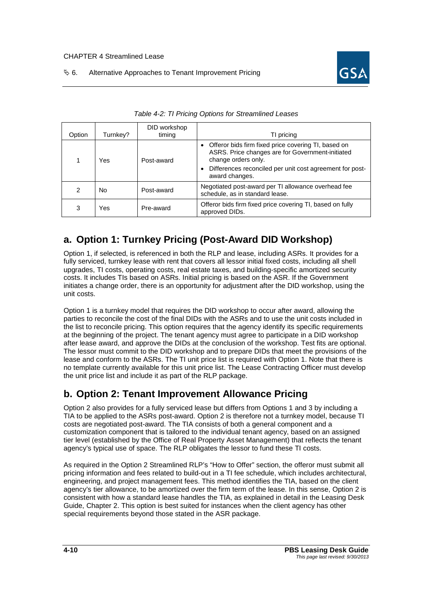#### $\%$  6. Alternative Approaches to Tenant Improvement Pricing



| Option | Turnkey? | DID workshop<br>timing | TI pricing                                                                                                                                                                                                     |  |
|--------|----------|------------------------|----------------------------------------------------------------------------------------------------------------------------------------------------------------------------------------------------------------|--|
|        | Yes      | Post-award             | • Offeror bids firm fixed price covering TI, based on<br>ASRS. Price changes are for Government-initiated<br>change orders only.<br>Differences reconciled per unit cost agreement for post-<br>award changes. |  |
| 2      | No       | Post-award             | Negotiated post-award per TI allowance overhead fee<br>schedule, as in standard lease.                                                                                                                         |  |
| 3      | Yes      | Pre-award              | Offeror bids firm fixed price covering TI, based on fully<br>approved DIDs.                                                                                                                                    |  |

|  | Table 4-2: TI Pricing Options for Streamlined Leases |
|--|------------------------------------------------------|
|  |                                                      |

## **a. Option 1: Turnkey Pricing (Post-Award DID Workshop)**

Option 1, if selected, is referenced in both the RLP and lease, including ASRs. It provides for a fully serviced, turnkey lease with rent that covers all lessor initial fixed costs, including all shell upgrades, TI costs, operating costs, real estate taxes, and building-specific amortized security costs. It includes TIs based on ASRs. Initial pricing is based on the ASR. If the Government initiates a change order, there is an opportunity for adjustment after the DID workshop, using the unit costs.

Option 1 is a turnkey model that requires the DID workshop to occur after award, allowing the parties to reconcile the cost of the final DIDs with the ASRs and to use the unit costs included in the list to reconcile pricing. This option requires that the agency identify its specific requirements at the beginning of the project. The tenant agency must agree to participate in a DID workshop after lease award, and approve the DIDs at the conclusion of the workshop. Test fits are optional. The lessor must commit to the DID workshop and to prepare DIDs that meet the provisions of the lease and conform to the ASRs. The TI unit price list is required with Option 1. Note that there is no template currently available for this unit price list. The Lease Contracting Officer must develop the unit price list and include it as part of the RLP package.

## **b. Option 2: Tenant Improvement Allowance Pricing**

Option 2 also provides for a fully serviced lease but differs from Options 1 and 3 by including a TIA to be applied to the ASRs post-award. Option 2 is therefore not a turnkey model, because TI costs are negotiated post-award. The TIA consists of both a general component and a customization component that is tailored to the individual tenant agency, based on an assigned tier level (established by the Office of Real Property Asset Management) that reflects the tenant agency's typical use of space. The RLP obligates the lessor to fund these TI costs.

As required in the Option 2 Streamlined RLP's "How to Offer" section, the offeror must submit all pricing information and fees related to build-out in a TI fee schedule, which includes architectural, engineering, and project management fees. This method identifies the TIA, based on the client agency's tier allowance, to be amortized over the firm term of the lease. In this sense, Option 2 is consistent with how a standard lease handles the TIA, as explained in detail in the Leasing Desk Guide, Chapter 2. This option is best suited for instances when the client agency has other special requirements beyond those stated in the ASR package.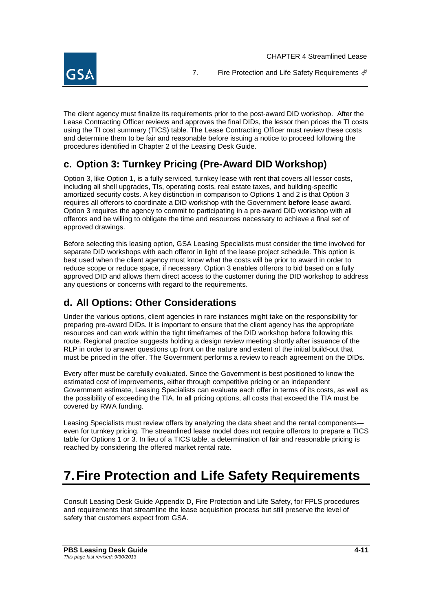

7. Fire Protection and Life Safety Requirements  $\oint$ 

The client agency must finalize its requirements prior to the post-award DID workshop. After the Lease Contracting Officer reviews and approves the final DIDs, the lessor then prices the TI costs using the TI cost summary (TICS) table. The Lease Contracting Officer must review these costs and determine them to be fair and reasonable before issuing a notice to proceed following the procedures identified in Chapter 2 of the Leasing Desk Guide.

# **c. Option 3: Turnkey Pricing (Pre-Award DID Workshop)**

Option 3, like Option 1, is a fully serviced, turnkey lease with rent that covers all lessor costs, including all shell upgrades, TIs, operating costs, real estate taxes, and building-specific amortized security costs. A key distinction in comparison to Options 1 and 2 is that Option 3 requires all offerors to coordinate a DID workshop with the Government **before** lease award. Option 3 requires the agency to commit to participating in a pre-award DID workshop with all offerors and be willing to obligate the time and resources necessary to achieve a final set of approved drawings.

Before selecting this leasing option, GSA Leasing Specialists must consider the time involved for separate DID workshops with each offeror in light of the lease project schedule. This option is best used when the client agency must know what the costs will be prior to award in order to reduce scope or reduce space, if necessary. Option 3 enables offerors to bid based on a fully approved DID and allows them direct access to the customer during the DID workshop to address any questions or concerns with regard to the requirements.

## **d. All Options: Other Considerations**

Under the various options, client agencies in rare instances might take on the responsibility for preparing pre-award DIDs. It is important to ensure that the client agency has the appropriate resources and can work within the tight timeframes of the DID workshop before following this route. Regional practice suggests holding a design review meeting shortly after issuance of the RLP in order to answer questions up front on the nature and extent of the initial build-out that must be priced in the offer. The Government performs a review to reach agreement on the DIDs.

Every offer must be carefully evaluated. Since the Government is best positioned to know the estimated cost of improvements, either through competitive pricing or an independent Government estimate, Leasing Specialists can evaluate each offer in terms of its costs, as well as the possibility of exceeding the TIA. In all pricing options, all costs that exceed the TIA must be covered by RWA funding.

Leasing Specialists must review offers by analyzing the data sheet and the rental components even for turnkey pricing. The streamlined lease model does not require offerors to prepare a TICS table for Options 1 or 3. In lieu of a TICS table, a determination of fair and reasonable pricing is reached by considering the offered market rental rate.

# **7.Fire Protection and Life Safety Requirements**

Consult Leasing Desk Guide Appendix D, Fire Protection and Life Safety, for FPLS procedures and requirements that streamline the lease acquisition process but still preserve the level of safety that customers expect from GSA.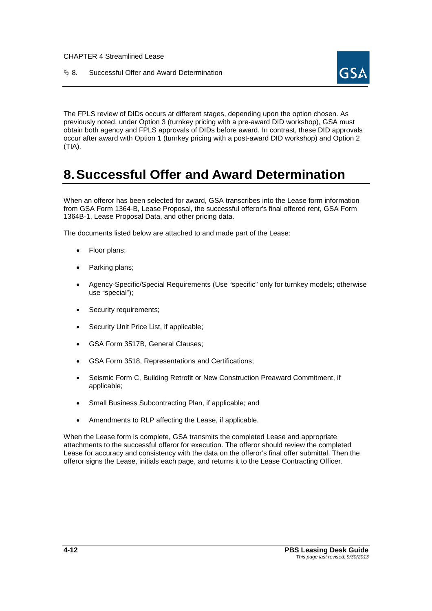& 8. Successful Offer and Award Determination



The FPLS review of DIDs occurs at different stages, depending upon the option chosen. As previously noted, under Option 3 (turnkey pricing with a pre-award DID workshop), GSA must obtain both agency and FPLS approvals of DIDs before award. In contrast, these DID approvals occur after award with Option 1 (turnkey pricing with a post-award DID workshop) and Option 2 (TIA).

# **8.Successful Offer and Award Determination**

When an offeror has been selected for award, GSA transcribes into the Lease form information from GSA Form 1364-B, Lease Proposal, the successful offeror's final offered rent, GSA Form 1364B-1, Lease Proposal Data, and other pricing data.

The documents listed below are attached to and made part of the Lease:

- Floor plans;
- Parking plans;
- Agency-Specific/Special Requirements (Use "specific" only for turnkey models; otherwise use "special");
- Security requirements;
- Security Unit Price List, if applicable;
- GSA Form 3517B, General Clauses;
- GSA Form 3518, Representations and Certifications;
- Seismic Form C, Building Retrofit or New Construction Preaward Commitment, if applicable;
- Small Business Subcontracting Plan, if applicable; and
- Amendments to RLP affecting the Lease, if applicable.

When the Lease form is complete, GSA transmits the completed Lease and appropriate attachments to the successful offeror for execution. The offeror should review the completed Lease for accuracy and consistency with the data on the offeror's final offer submittal. Then the offeror signs the Lease, initials each page, and returns it to the Lease Contracting Officer.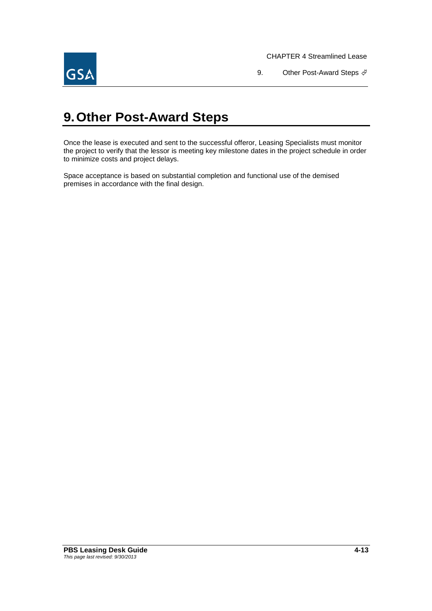

9. Other Post-Award Steps  $\oint$ 

# **9.Other Post-Award Steps**

Once the lease is executed and sent to the successful offeror, Leasing Specialists must monitor the project to verify that the lessor is meeting key milestone dates in the project schedule in order to minimize costs and project delays.

Space acceptance is based on substantial completion and functional use of the demised premises in accordance with the final design.